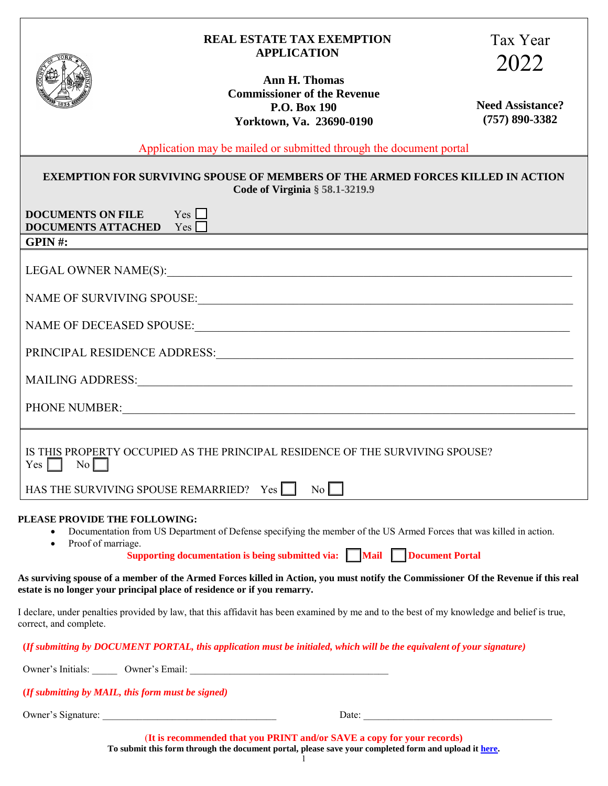| <b>REAL ESTATE TAX EXEMPTION</b> |
|----------------------------------|
| <b>APPLICATION</b>               |



## Tax Year 2022

**Ann H. Thomas Commissioner of the Revenue P.O. Box 190 Yorktown, Va. 23690-0190**

**Need Assistance? (757) 890-3382**

Application may be mailed or submitted through the document portal

| <b>EXEMPTION FOR SURVIVING SPOUSE OF MEMBERS OF THE ARMED FORCES KILLED IN ACTION</b><br>Code of Virginia $\S$ 58.1-3219.9                                                                                                                                                    |  |  |
|-------------------------------------------------------------------------------------------------------------------------------------------------------------------------------------------------------------------------------------------------------------------------------|--|--|
| <b>DOCUMENTS ON FILE</b> Yes<br>DOCUMENTS ATTACHED $Yes$                                                                                                                                                                                                                      |  |  |
| GPIN#:                                                                                                                                                                                                                                                                        |  |  |
|                                                                                                                                                                                                                                                                               |  |  |
|                                                                                                                                                                                                                                                                               |  |  |
|                                                                                                                                                                                                                                                                               |  |  |
|                                                                                                                                                                                                                                                                               |  |  |
|                                                                                                                                                                                                                                                                               |  |  |
| PHONE NUMBER: NEWSLETTERS                                                                                                                                                                                                                                                     |  |  |
| IS THIS PROPERTY OCCUPIED AS THE PRINCIPAL RESIDENCE OF THE SURVIVING SPOUSE?<br>$Yes \nightharpoonup No \nightharpoonup$                                                                                                                                                     |  |  |
| HAS THE SURVIVING SPOUSE REMARRIED? $Yes \nightharpoonup No \nightharpoonup$                                                                                                                                                                                                  |  |  |
| PLEASE PROVIDE THE FOLLOWING:<br>Documentation from US Department of Defense specifying the member of the US Armed Forces that was killed in action.<br>$\bullet$<br>Proof of marriage.<br>$\bullet$<br>Supporting documentation is being submitted via: Mail Document Portal |  |  |

**As surviving spouse of a member of the Armed Forces killed in Action, you must notify the Commissioner Of the Revenue if this real estate is no longer your principal place of residence or if you remarry.**

I declare, under penalties provided by law, that this affidavit has been examined by me and to the best of my knowledge and belief is true, correct, and complete.

## **(***If submitting by DOCUMENT PORTAL, this application must be initialed, which will be the equivalent of your signature)*

Owner's Initials:  $\qquad \qquad$  Owner's Email:

 **(***If submitting by MAIL, this form must be signed)*

Owner's Signature: \_\_\_\_\_\_\_\_\_\_\_\_\_\_\_\_\_\_\_\_\_\_\_\_\_\_\_\_\_\_\_\_\_\_\_ Date: \_\_\_\_\_\_\_\_\_\_\_\_\_\_\_\_\_\_\_\_\_\_\_\_\_\_\_\_\_\_\_\_\_\_\_\_\_\_

(**It is recommended that you PRINT and/or SAVE a copy for your records) To submit this form through the document portal, please save your completed form and upload it [here.](https://lfportal.yorkcounty.gov/forms/cor-correspondence)**